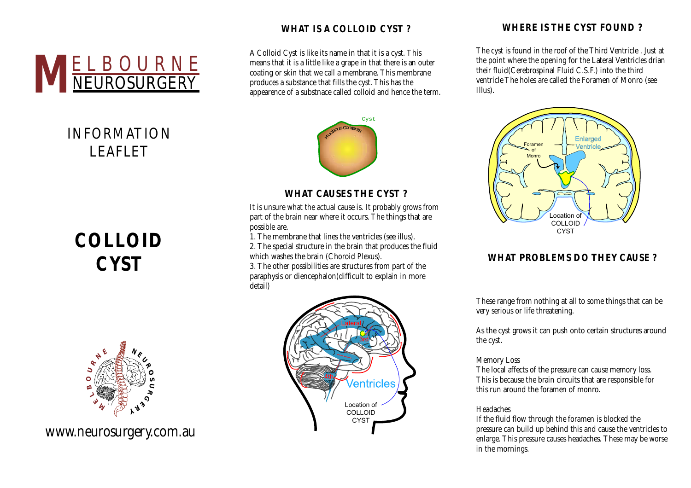

## INFORMATION LEAFLET

# **COLLOID CYST**



www.neurosurgery.com.au

## **WHAT IS A COLLOID CYST ?**

A Colloid Cyst is like its name in that it is a cyst. This means that it is a little like a grape in that there is an outer coating or skin that we call a membrane. This membrane produces a substance that fills the cyst. This has the appearence of a substnace called colloid and hence the term.



## **WHAT CAUSES THE CYST ?**

It is unsure what the actual cause is. It probably grows from part of the brain near where it occurs. The things that are possible are.

1. The membrane that lines the ventricles (see illus). 2. The special structure in the brain that produces the fluid which washes the brain (Choroid Plexus). 3. The other possibilities are structures from part of the

paraphysis or diencephalon(difficult to explain in more detail)



## **WHERE IS THE CYST FOUND ?**

The cyst is found in the roof of the Third Ventricle . Just at the point where the opening for the Lateral Ventricles drian their fluid(Cerebrospinal Fluid C.S.F.) into the third ventricle The holes are called the Foramen of Monro (see Illus).



## **WHAT PROBLEMS DO THEY CAUSE ?**

These range from nothing at all to some things that can be very serious or life threatening.

As the cyst grows it can push onto certain structures around the cyst.

#### Memory Loss

The local affects of the pressure can cause memory loss. This is because the brain circuits that are responsible for this run around the foramen of monro.

#### Headaches

If the fluid flow through the foramen is blocked the pressure can build up behind this and cause the ventricles to enlarge. This pressure causes headaches. These may be worse in the mornings.